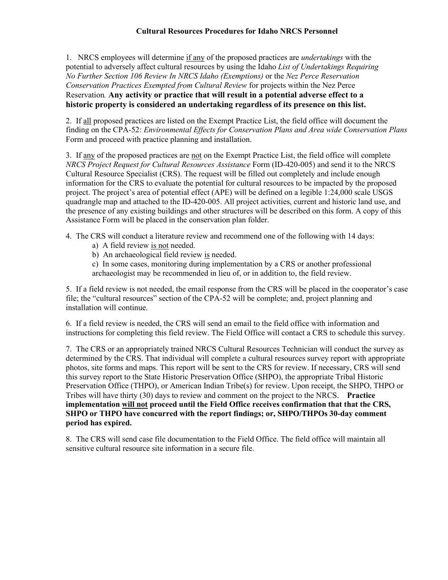## **Cultural Resources Procedures for Idaho NRCS Personnel**

1. NRCS employees will determine if any of the proposed practices are *undertakings* with the potential to adversely affect cultural resources by using the Idaho *List of Undertakings Requiring No Further Section 106 Review In NRCS Idaho (Exemptions)* or the *Nez Perce Reservation Conservation Practices Exempted from Cultural Review* for projects within the Nez Perce Reservation*.* **Any activity or practice that will result in a potential adverse effect to a historic property is considered an undertaking regardless of its presence on this list.**

2. If all proposed practices are listed on the Exempt Practice List, the field office will document the finding on the CPA-52: *Environmental Effects for Conservation Plans and Area wide Conservation Plans* Form and proceed with practice planning and installation.

3. If any of the proposed practices are not on the Exempt Practice List, the field office will complete *NRCS Project Request for Cultural Resources Assistance* Form (ID-420-005) and send it to the NRCS Cultural Resource Specialist (CRS). The request will be filled out completely and include enough information for the CRS to evaluate the potential for cultural resources to be impacted by the proposed project. The project's area of potential effect (APE) will be defined on a legible 1:24,000 scale USGS quadrangle map and attached to the ID-420-005. All project activities, current and historic land use, and the presence of any existing buildings and other structures will be described on this form. A copy of this Assistance Form will be placed in the conservation plan folder.

4. The CRS will conduct a literature review and recommend one of the following with 14 days:

- a) A field review is not needed.
- b) An archaeological field review is needed.

 c) In some cases, monitoring during implementation by a CRS or another professional archaeologist may be recommended in lieu of, or in addition to, the field review.

5. If a field review is not needed, the email response from the CRS will be placed in the cooperator's case file; the "cultural resources" section of the CPA-52 will be complete; and, project planning and installation will continue.

6. If a field review is needed, the CRS will send an email to the field office with information and instructions for completing this field review. The Field Office will contact a CRS to schedule this survey.

7. The CRS or an appropriately trained NRCS Cultural Resources Technician will conduct the survey as determined by the CRS. That individual will complete a cultural resources survey report with appropriate photos, site forms and maps. This report will be sent to the CRS for review. If necessary, CRS will send this survey report to the State Historic Preservation Office (SHPO), the appropriate Tribal Historic Preservation Office (THPO), or American Indian Tribe(s) for review. Upon receipt, the SHPO, THPO or Tribes will have thirty (30) days to review and comment on the project to the NRCS. **Practice implementation will not proceed until the Field Office receives confirmation that that the CRS, SHPO or THPO have concurred with the report findings; or, SHPO/THPOs 30-day comment period has expired.**

8. The CRS will send case file documentation to the Field Office. The field office will maintain all sensitive cultural resource site information in a secure file.